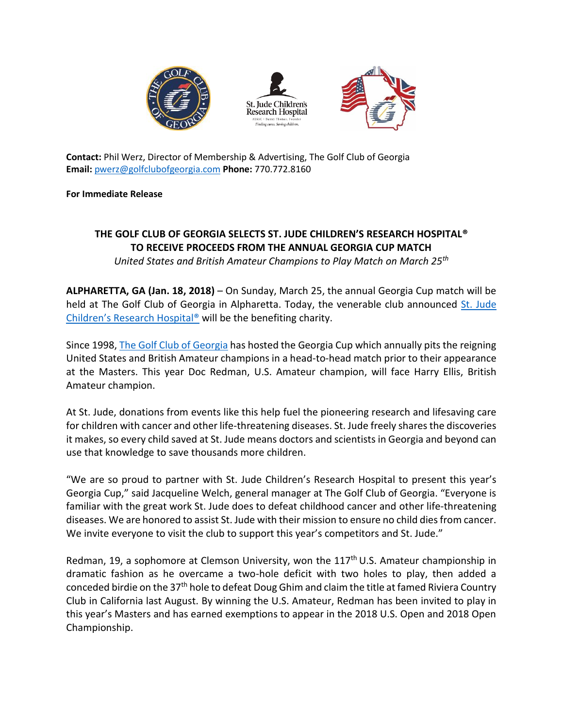





**Contact:** Phil Werz, Director of Membership & Advertising, The Golf Club of Georgia **Email:** [pwerz@golfclubofgeorgia.com](mailto:pwerz@golfclubofgeorgia.com) **Phone:** 770.772.8160

## **For Immediate Release**

## **THE GOLF CLUB OF GEORGIA SELECTS ST. JUDE CHILDREN'S RESEARCH HOSPITAL® TO RECEIVE PROCEEDS FROM THE ANNUAL GEORGIA CUP MATCH**

*United States and British Amateur Champions to Play Match on March 25th*

**ALPHARETTA, GA (Jan. 18, 2018)** – On Sunday, March 25, the annual Georgia Cup match will be held at The Golf Club of Georgia in Alpharetta. Today, the venerable club announced [St. Jude](https://www.stjude.org/)  Children's [Research Hospital®](https://www.stjude.org/) will be the benefiting charity.

Since 1998, [The Golf Club of Georgia](http://www.golfclubofgeorgia.com/) has hosted the Georgia Cup which annually pits the reigning United States and British Amateur champions in a head-to-head match prior to their appearance at the Masters. This year Doc Redman, U.S. Amateur champion, will face Harry Ellis, British Amateur champion.

At St. Jude, donations from events like this help fuel the pioneering research and lifesaving care for children with cancer and other life-threatening diseases. St. Jude freely shares the discoveries it makes, so every child saved at St. Jude means doctors and scientists in Georgia and beyond can use that knowledge to save thousands more children.

"We are so proud to partner with St. Jude Children's Research Hospital to present this year's Georgia Cup," said Jacqueline Welch, general manager at The Golf Club of Georgia. "Everyone is familiar with the great work St. Jude does to defeat childhood cancer and other life-threatening diseases. We are honored to assist St. Jude with their mission to ensure no child dies from cancer. We invite everyone to visit the club to support this year's competitors and St. Jude."

Redman, 19, a sophomore at Clemson University, won the 117<sup>th</sup> U.S. Amateur championship in dramatic fashion as he overcame a two-hole deficit with two holes to play, then added a conceded birdie on the 37th hole to defeat Doug Ghim and claim the title at famed Riviera Country Club in California last August. By winning the U.S. Amateur, Redman has been invited to play in this year's Masters and has earned exemptions to appear in the 2018 U.S. Open and 2018 Open Championship.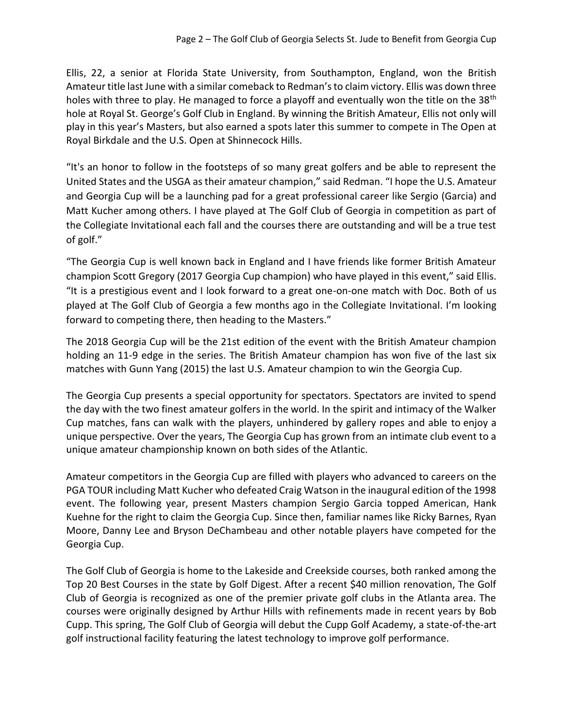Ellis, 22, a senior at Florida State University, from Southampton, England, won the British Amateur title last June with a similar comeback to Redman's to claim victory. Ellis was down three holes with three to play. He managed to force a playoff and eventually won the title on the 38<sup>th</sup> hole at Royal St. George's Golf Club in England. By winning the British Amateur, Ellis not only will play in this year's Masters, but also earned a spots later this summer to compete in The Open at Royal Birkdale and the U.S. Open at Shinnecock Hills.

"It's an honor to follow in the footsteps of so many great golfers and be able to represent the United States and the USGA as their amateur champion," said Redman. "I hope the U.S. Amateur and Georgia Cup will be a launching pad for a great professional career like Sergio (Garcia) and Matt Kucher among others. I have played at The Golf Club of Georgia in competition as part of the Collegiate Invitational each fall and the courses there are outstanding and will be a true test of golf."

"The Georgia Cup is well known back in England and I have friends like former British Amateur champion Scott Gregory (2017 Georgia Cup champion) who have played in this event," said Ellis. "It is a prestigious event and I look forward to a great one-on-one match with Doc. Both of us played at The Golf Club of Georgia a few months ago in the Collegiate Invitational. I'm looking forward to competing there, then heading to the Masters."

The 2018 Georgia Cup will be the 21st edition of the event with the British Amateur champion holding an 11-9 edge in the series. The British Amateur champion has won five of the last six matches with Gunn Yang (2015) the last U.S. Amateur champion to win the Georgia Cup.

The Georgia Cup presents a special opportunity for spectators. Spectators are invited to spend the day with the two finest amateur golfers in the world. In the spirit and intimacy of the Walker Cup matches, fans can walk with the players, unhindered by gallery ropes and able to enjoy a unique perspective. Over the years, The Georgia Cup has grown from an intimate club event to a unique amateur championship known on both sides of the Atlantic.

Amateur competitors in the Georgia Cup are filled with players who advanced to careers on the PGA TOUR including Matt Kucher who defeated Craig Watson in the inaugural edition of the 1998 event. The following year, present Masters champion Sergio Garcia topped American, Hank Kuehne for the right to claim the Georgia Cup. Since then, familiar names like Ricky Barnes, Ryan Moore, Danny Lee and Bryson DeChambeau and other notable players have competed for the Georgia Cup.

The Golf Club of Georgia is home to the Lakeside and Creekside courses, both ranked among the Top 20 Best Courses in the state by Golf Digest. After a recent \$40 million renovation, The Golf Club of Georgia is recognized as one of the premier private golf clubs in the Atlanta area. The courses were originally designed by Arthur Hills with refinements made in recent years by Bob Cupp. This spring, The Golf Club of Georgia will debut the Cupp Golf Academy, a state-of-the-art golf instructional facility featuring the latest technology to improve golf performance.